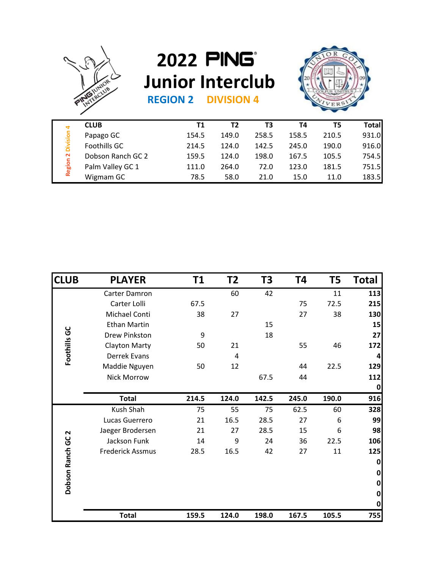

## **2022 Junior Interclub**<br>REGION 2 **DIVISION 4**



| <b>REGION 2</b><br><b>DIVISION 4</b> |
|--------------------------------------|
|--------------------------------------|

| ₹<br>ŵ<br>$\sim$<br>Region | <b>CLUB</b>       | T1    | Τ2    | T3    | Τ4    | T5    | <b>Total</b> |
|----------------------------|-------------------|-------|-------|-------|-------|-------|--------------|
|                            | Papago GC         | 154.5 | 149.0 | 258.5 | 158.5 | 210.5 | 931.0        |
|                            | Foothills GC      | 214.5 | 124.0 | 142.5 | 245.0 | 190.0 | 916.0        |
|                            | Dobson Ranch GC 2 | 159.5 | 124.0 | 198.0 | 167.5 | 105.5 | 754.5        |
|                            | Palm Valley GC 1  | 111.0 | 264.0 | 72.0  | 123.0 | 181.5 | 751.5        |
|                            | Wigmam GC         | 78.5  | 58.0  | 21.0  | 15.0  | 11.0  | 183.5        |

|                            | <b>Total</b>                          | 159.5          | 124.0          | 198.0          | 167.5          | 105.5          | 755            |
|----------------------------|---------------------------------------|----------------|----------------|----------------|----------------|----------------|----------------|
|                            |                                       |                |                |                |                |                | $\bf{0}$<br>0  |
| Dobson Ranch               |                                       |                |                |                |                |                | 0<br>0         |
|                            |                                       |                |                |                |                |                | $\pmb{0}$      |
| N<br>ပ<br>ပ                | <b>Frederick Assmus</b>               | 28.5           | 16.5           | 42             | 27             | 11             | 125            |
|                            | Jaeger Brodersen<br>Jackson Funk      | 21<br>14       | 27<br>9        | 28.5<br>24     | 15<br>36       | 6<br>22.5      | 98<br>106      |
|                            | Lucas Guerrero                        | 21             | 16.5           | 28.5           | 27             | 6              | 99             |
|                            | Kush Shah                             | 75             | 55             | 75             | 62.5           | 60             | 328            |
|                            | <b>Total</b>                          | 214.5          | 124.0          | 142.5          | 245.0          | 190.0          | 916            |
|                            |                                       |                |                |                |                |                | 0              |
|                            | <b>Nick Morrow</b>                    |                |                | 67.5           | 44             |                | 112            |
|                            | Maddie Nguyen                         | 50             | 12             |                | 44             | 22.5           | 129            |
|                            | Derrek Evans                          |                | 4              |                |                |                | 4              |
| Foothills GC               | <b>Clayton Marty</b>                  | 50             | 21             |                | 55             | 46             | 172            |
|                            | Drew Pinkston                         | 9              |                | 18             |                |                | 27             |
|                            | <b>Ethan Martin</b>                   |                |                | 15             |                |                | 15             |
|                            | Carter Lolli<br>Michael Conti         | 67.5<br>38     | 27             |                | 75<br>27       | 72.5<br>38     | 215<br>130     |
|                            | Carter Damron                         |                | 60             | 42             |                | 11             | 113            |
|                            | <b>PLAYER</b>                         | T1             |                | T <sub>3</sub> | T4             | T <sub>5</sub> | <b>Total</b>   |
| <b>CLUB</b>                |                                       |                | T2             |                |                |                |                |
|                            |                                       |                |                |                |                |                |                |
|                            | Wigmam GC                             | 78.5           | 58.0           | 21.0           | 15.0           | 11.0           | 183.5          |
|                            | Dobson Ranch GC 2<br>Palm Valley GC 1 | 159.5<br>111.0 | 124.0<br>264.0 | 198.0<br>72.0  | 167.5<br>123.0 | 105.5<br>181.5 | 754.5<br>751.5 |
| <b>Region 2 Division 4</b> | Foothills GC                          | 214.5          | 124.0          | 142.5          | 245.0          | 190.0          | 916.0          |
|                            | Papago GC                             | 154.5          | 149.0          | 258.5          | 158.5          | 210.5          | 931.0          |
|                            |                                       |                |                |                |                |                | .              |